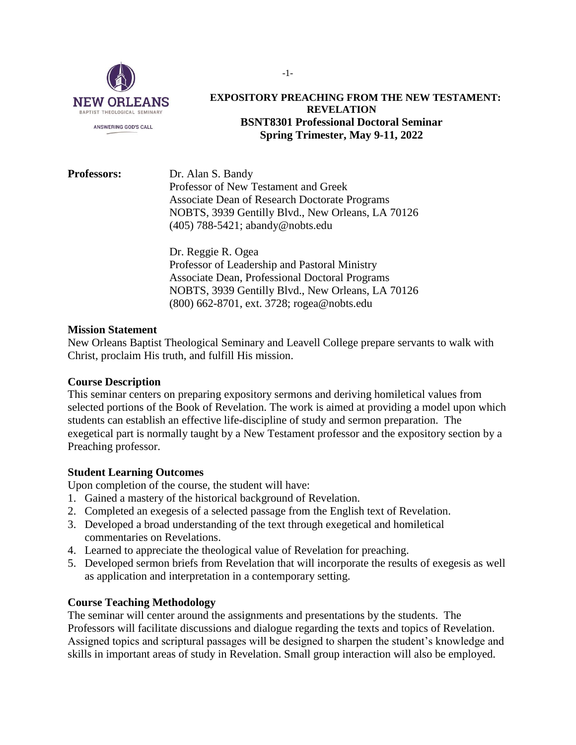

## **EXPOSITORY PREACHING FROM THE NEW TESTAMENT: REVELATION BSNT8301 Professional Doctoral Seminar Spring Trimester, May 9-11, 2022**

**Professors:** Dr. Alan S. Bandy Professor of New Testament and Greek Associate Dean of Research Doctorate Programs NOBTS, 3939 Gentilly Blvd., New Orleans, LA 70126 (405) 788-5421; [abandy@nobts.edu](mailto:abandy@nobts.edu)

> Dr. Reggie R. Ogea Professor of Leadership and Pastoral Ministry Associate Dean, Professional Doctoral Programs NOBTS, 3939 Gentilly Blvd., New Orleans, LA 70126 (800) 662-8701, ext. 3728; [rogea@nobts.edu](mailto:rogea@nobts.edu)

## **Mission Statement**

New Orleans Baptist Theological Seminary and Leavell College prepare servants to walk with Christ, proclaim His truth, and fulfill His mission.

### **Course Description**

This seminar centers on preparing expository sermons and deriving homiletical values from selected portions of the Book of Revelation. The work is aimed at providing a model upon which students can establish an effective life-discipline of study and sermon preparation. The exegetical part is normally taught by a New Testament professor and the expository section by a Preaching professor.

## **Student Learning Outcomes**

Upon completion of the course, the student will have:

- 1. Gained a mastery of the historical background of Revelation.
- 2. Completed an exegesis of a selected passage from the English text of Revelation.
- 3. Developed a broad understanding of the text through exegetical and homiletical commentaries on Revelations.
- 4. Learned to appreciate the theological value of Revelation for preaching.
- 5. Developed sermon briefs from Revelation that will incorporate the results of exegesis as well as application and interpretation in a contemporary setting.

## **Course Teaching Methodology**

The seminar will center around the assignments and presentations by the students. The Professors will facilitate discussions and dialogue regarding the texts and topics of Revelation. Assigned topics and scriptural passages will be designed to sharpen the student's knowledge and skills in important areas of study in Revelation. Small group interaction will also be employed.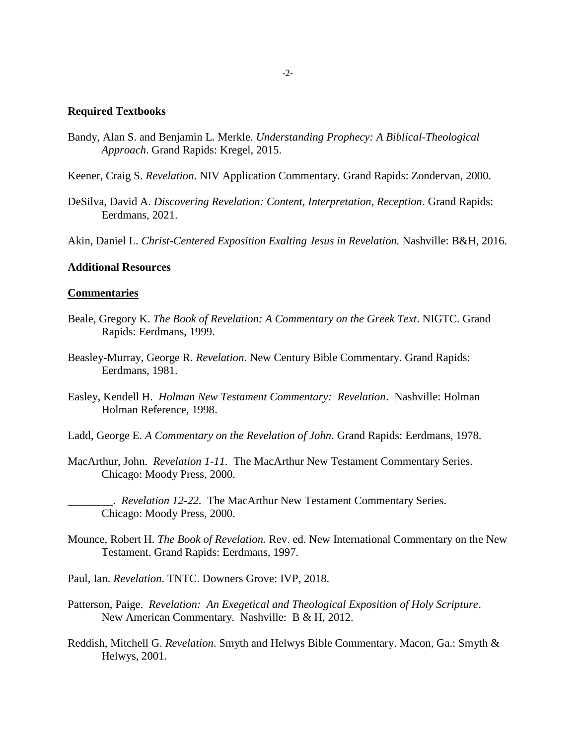#### **Required Textbooks**

- Bandy, Alan S. and Benjamin L. Merkle. *Understanding Prophecy: A Biblical-Theological Approach*. Grand Rapids: Kregel, 2015.
- Keener, Craig S. *Revelation*. NIV Application Commentary. Grand Rapids: Zondervan, 2000.
- DeSilva, David A. *Discovering Revelation: Content, Interpretation, Reception*. Grand Rapids: Eerdmans, 2021.

Akin, Daniel L. *Christ-Centered Exposition Exalting Jesus in Revelation.* Nashville: B&H, 2016.

#### **Additional Resources**

#### **Commentaries**

- Beale, Gregory K. *The Book of Revelation: A Commentary on the Greek Text*. NIGTC. Grand Rapids: Eerdmans, 1999.
- Beasley-Murray, George R. *Revelation*. New Century Bible Commentary. Grand Rapids: Eerdmans, 1981.
- Easley, Kendell H. *Holman New Testament Commentary: Revelation*. Nashville: Holman Holman Reference, 1998.
- Ladd, George E. *A Commentary on the Revelation of John*. Grand Rapids: Eerdmans, 1978.
- MacArthur, John. *Revelation 1-11.* The MacArthur New Testament Commentary Series. Chicago: Moody Press, 2000.

\_\_\_\_\_\_\_\_. *Revelation 12-22.* The MacArthur New Testament Commentary Series. Chicago: Moody Press, 2000.

- Mounce, Robert H. *The Book of Revelation.* Rev. ed. New International Commentary on the New Testament. Grand Rapids: Eerdmans, 1997.
- Paul, Ian. *Revelation*. TNTC. Downers Grove: IVP, 2018.
- Patterson, Paige. *Revelation: An Exegetical and Theological Exposition of Holy Scripture*. New American Commentary. Nashville: B & H, 2012.
- Reddish, Mitchell G. *Revelation*. Smyth and Helwys Bible Commentary. Macon, Ga.: Smyth & Helwys, 2001.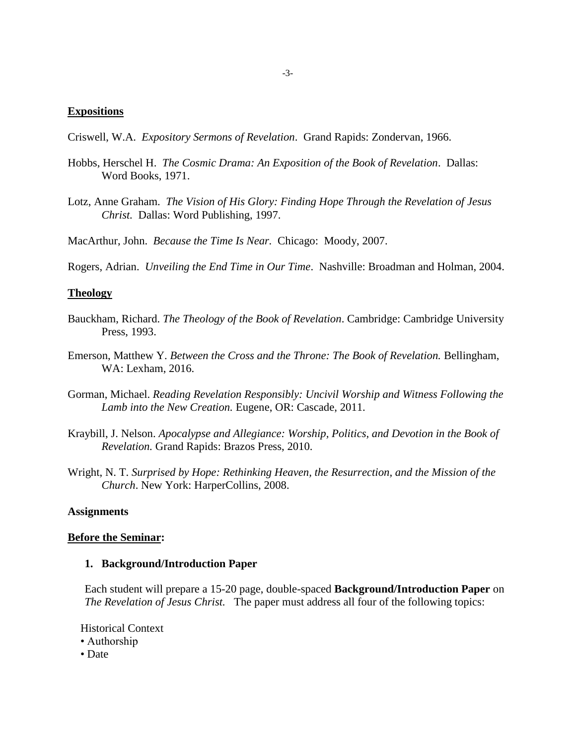### **Expositions**

Criswell, W.A. *Expository Sermons of Revelation*. Grand Rapids: Zondervan, 1966.

- Hobbs, Herschel H. *The Cosmic Drama: An Exposition of the Book of Revelation*. Dallas: Word Books, 1971.
- Lotz, Anne Graham. *The Vision of His Glory: Finding Hope Through the Revelation of Jesus Christ.* Dallas: Word Publishing, 1997.

MacArthur, John. *Because the Time Is Near.* Chicago: Moody, 2007.

Rogers, Adrian. *Unveiling the End Time in Our Time*. Nashville: Broadman and Holman, 2004.

#### **Theology**

- Bauckham, Richard. *The Theology of the Book of Revelation*. Cambridge: Cambridge University Press, 1993.
- Emerson, Matthew Y. *Between the Cross and the Throne: The Book of Revelation.* Bellingham, WA: Lexham, 2016.
- Gorman, Michael. *Reading Revelation Responsibly: Uncivil Worship and Witness Following the Lamb into the New Creation.* Eugene, OR: Cascade, 2011.
- Kraybill, J. Nelson. *Apocalypse and Allegiance: Worship, Politics, and Devotion in the Book of Revelation.* Grand Rapids: Brazos Press, 2010.
- Wright, N. T. *Surprised by Hope: Rethinking Heaven, the Resurrection, and the Mission of the Church*. New York: HarperCollins, 2008.

#### **Assignments**

#### **Before the Seminar:**

### **1. Background/Introduction Paper**

Each student will prepare a 15-20 page, double-spaced **Background/Introduction Paper** on *The Revelation of Jesus Christ.* The paper must address all four of the following topics:

Historical Context

- Authorship
- Date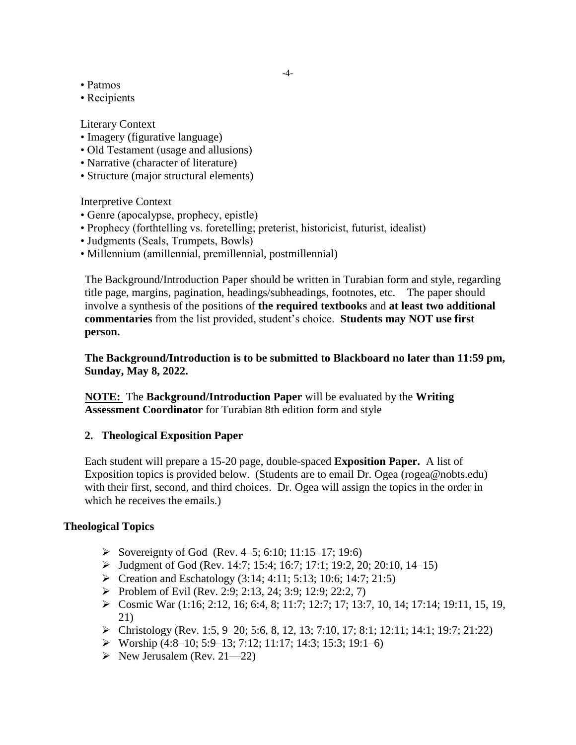- Patmos
- Recipients

Literary Context

- Imagery (figurative language)
- Old Testament (usage and allusions)
- Narrative (character of literature)
- Structure (major structural elements)

Interpretive Context

- Genre (apocalypse, prophecy, epistle)
- Prophecy (forthtelling vs. foretelling; preterist, historicist, futurist, idealist)
- Judgments (Seals, Trumpets, Bowls)
- Millennium (amillennial, premillennial, postmillennial)

The Background/Introduction Paper should be written in Turabian form and style, regarding title page, margins, pagination, headings/subheadings, footnotes, etc. The paper should involve a synthesis of the positions of **the required textbooks** and **at least two additional commentaries** from the list provided, student's choice. **Students may NOT use first person.**

**The Background/Introduction is to be submitted to Blackboard no later than 11:59 pm, Sunday, May 8, 2022.** 

**NOTE:** The **Background/Introduction Paper** will be evaluated by the **Writing Assessment Coordinator** for Turabian 8th edition form and style

## **2. Theological Exposition Paper**

Each student will prepare a 15-20 page, double-spaced **Exposition Paper.** A list of Exposition topics is provided below. (Students are to email Dr. Ogea [\(rogea@nobts.edu\)](mailto:rogea@nobts.edu) with their first, second, and third choices. Dr. Ogea will assign the topics in the order in which he receives the emails.)

# **Theological Topics**

- Sovereignty of God (Rev. 4–5; 6:10; 11:15–17; 19:6)
- $\blacktriangleright$  Judgment of God (Rev. 14:7; 15:4; 16:7; 17:1; 19:2, 20; 20:10, 14–15)
- $\triangleright$  Creation and Eschatology (3:14; 4:11; 5:13; 10:6; 14:7; 21:5)
- Problem of Evil (Rev. 2:9; 2:13, 24; 3:9; 12:9; 22:2, 7)
- Cosmic War (1:16; 2:12, 16; 6:4, 8; 11:7; 12:7; 17; 13:7, 10, 14; 17:14; 19:11, 15, 19, 21)
- Christology (Rev. 1:5, 9–20; 5:6, 8, 12, 13; 7:10, 17; 8:1; 12:11; 14:1; 19:7; 21:22)
- Worship  $(4:8-10; 5:9-13; 7:12; 11:17; 14:3; 15:3; 19:1-6)$
- $\triangleright$  New Jerusalem (Rev. 21—22)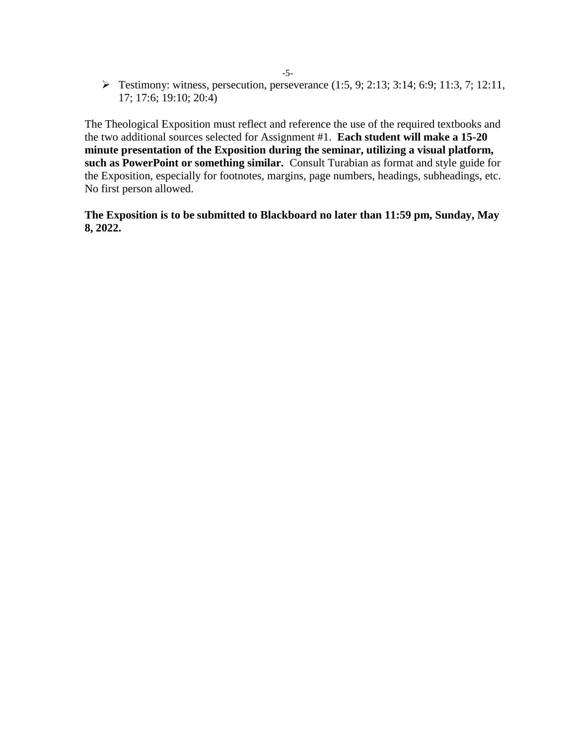$\triangleright$  Testimony: witness, persecution, perseverance (1:5, 9; 2:13; 3:14; 6:9; 11:3, 7; 12:11, 17; 17:6; 19:10; 20:4)

The Theological Exposition must reflect and reference the use of the required textbooks and the two additional sources selected for Assignment #1. **Each student will make a 15-20 minute presentation of the Exposition during the seminar, utilizing a visual platform, such as PowerPoint or something similar.** Consult Turabian as format and style guide for the Exposition, especially for footnotes, margins, page numbers, headings, subheadings, etc. No first person allowed.

**The Exposition is to be submitted to Blackboard no later than 11:59 pm, Sunday, May 8, 2022.**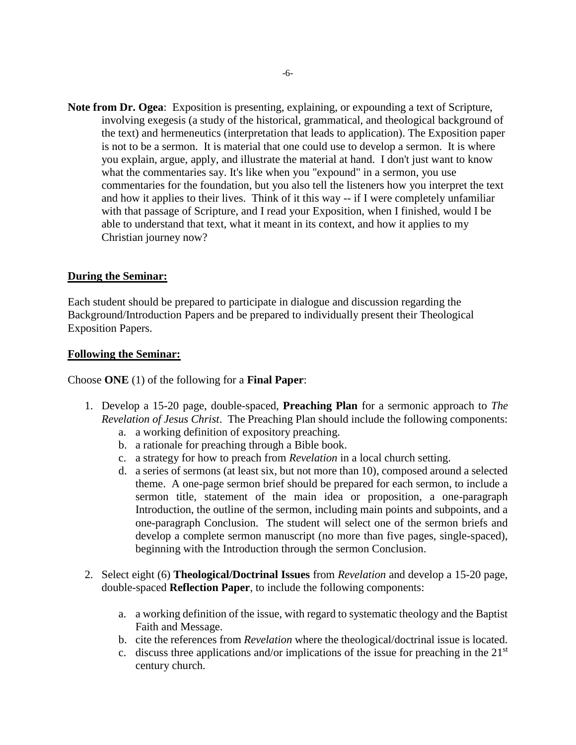**Note from Dr. Ogea**:Exposition is presenting, explaining, or expounding a text of Scripture, involving exegesis (a study of the historical, grammatical, and theological background of the text) and hermeneutics (interpretation that leads to application). The Exposition paper is not to be a sermon. It is material that one could use to develop a sermon. It is where you explain, argue, apply, and illustrate the material at hand. I don't just want to know what the commentaries say. It's like when you "expound" in a sermon, you use commentaries for the foundation, but you also tell the listeners how you interpret the text and how it applies to their lives. Think of it this way -- if I were completely unfamiliar with that passage of Scripture, and I read your Exposition, when I finished, would I be able to understand that text, what it meant in its context, and how it applies to my Christian journey now?

## **During the Seminar:**

Each student should be prepared to participate in dialogue and discussion regarding the Background/Introduction Papers and be prepared to individually present their Theological Exposition Papers.

#### **Following the Seminar:**

Choose **ONE** (1) of the following for a **Final Paper**:

- 1. Develop a 15-20 page, double-spaced, **Preaching Plan** for a sermonic approach to *The Revelation of Jesus Christ*. The Preaching Plan should include the following components:
	- a. a working definition of expository preaching.
	- b. a rationale for preaching through a Bible book.
	- c. a strategy for how to preach from *Revelation* in a local church setting.
	- d. a series of sermons (at least six, but not more than 10), composed around a selected theme. A one-page sermon brief should be prepared for each sermon, to include a sermon title, statement of the main idea or proposition, a one-paragraph Introduction, the outline of the sermon, including main points and subpoints, and a one-paragraph Conclusion. The student will select one of the sermon briefs and develop a complete sermon manuscript (no more than five pages, single-spaced), beginning with the Introduction through the sermon Conclusion.
- 2. Select eight (6) **Theological/Doctrinal Issues** from *Revelation* and develop a 15-20 page, double-spaced **Reflection Paper**, to include the following components:
	- a. a working definition of the issue, with regard to systematic theology and the Baptist Faith and Message.
	- b. cite the references from *Revelation* where the theological/doctrinal issue is located.
	- c. discuss three applications and/or implications of the issue for preaching in the  $21<sup>st</sup>$ century church.